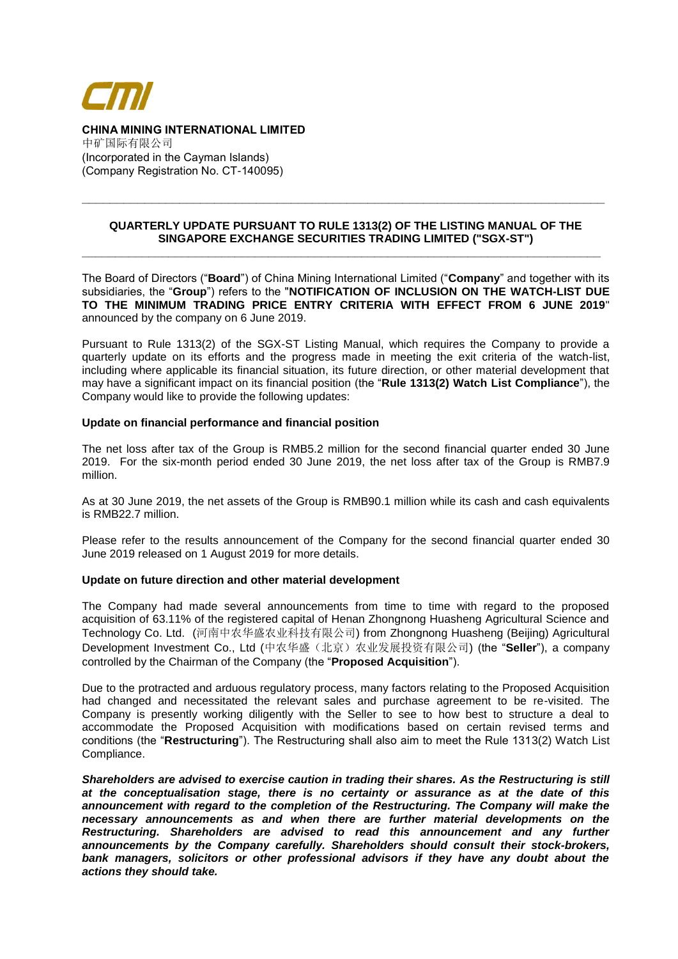

**CHINA MINING INTERNATIONAL LIMITED**  中矿国际有限公司 (Incorporated in the Cayman Islands) (Company Registration No. CT-140095)

## **QUARTERLY UPDATE PURSUANT TO RULE 1313(2) OF THE LISTING MANUAL OF THE SINGAPORE EXCHANGE SECURITIES TRADING LIMITED ("SGX-ST")**

**\_\_\_\_\_\_\_\_\_\_\_\_\_\_\_\_\_\_\_\_\_\_\_\_\_\_\_\_\_\_\_\_\_\_\_\_\_\_\_\_\_\_\_\_\_\_\_\_\_\_\_\_\_\_\_\_\_\_\_\_\_\_\_\_\_\_\_\_\_\_\_\_\_\_\_\_\_\_**

**\_\_\_\_\_\_\_\_\_\_\_\_\_\_\_\_\_\_\_\_\_\_\_\_\_\_\_\_\_\_\_\_\_\_\_\_\_\_\_\_\_\_\_\_\_\_\_\_\_\_\_\_\_\_\_\_\_\_\_\_\_\_\_\_\_\_\_\_\_\_\_\_\_\_\_**

The Board of Directors ("**Board**") of China Mining International Limited ("**Company**" and together with its subsidiaries, the "**Group**") refers to the "**NOTIFICATION OF INCLUSION ON THE WATCH-LIST DUE TO THE MINIMUM TRADING PRICE ENTRY CRITERIA WITH EFFECT FROM 6 JUNE 2019**" announced by the company on 6 June 2019.

Pursuant to Rule 1313(2) of the SGX-ST Listing Manual, which requires the Company to provide a quarterly update on its efforts and the progress made in meeting the exit criteria of the watch-list, including where applicable its financial situation, its future direction, or other material development that may have a significant impact on its financial position (the "**Rule 1313(2) Watch List Compliance**"), the Company would like to provide the following updates:

## **Update on financial performance and financial position**

The net loss after tax of the Group is RMB5.2 million for the second financial quarter ended 30 June 2019. For the six-month period ended 30 June 2019, the net loss after tax of the Group is RMB7.9 million.

As at 30 June 2019, the net assets of the Group is RMB90.1 million while its cash and cash equivalents is RMB22.7 million.

Please refer to the results announcement of the Company for the second financial quarter ended 30 June 2019 released on 1 August 2019 for more details.

## **Update on future direction and other material development**

The Company had made several announcements from time to time with regard to the proposed acquisition of 63.11% of the registered capital of Henan Zhongnong Huasheng Agricultural Science and Technology Co. Ltd. (河南中农华盛农业科技有限公司) from Zhongnong Huasheng (Beijing) Agricultural Development Investment Co., Ltd (中农华盛(北京)农业发展投资有限公司) (the "Seller"), a company controlled by the Chairman of the Company (the "**Proposed Acquisition**").

Due to the protracted and arduous regulatory process, many factors relating to the Proposed Acquisition had changed and necessitated the relevant sales and purchase agreement to be re-visited. The Company is presently working diligently with the Seller to see to how best to structure a deal to accommodate the Proposed Acquisition with modifications based on certain revised terms and conditions (the "**Restructuring**"). The Restructuring shall also aim to meet the Rule 1313(2) Watch List Compliance.

*Shareholders are advised to exercise caution in trading their shares. As the Restructuring is still at the conceptualisation stage, there is no certainty or assurance as at the date of this announcement with regard to the completion of the Restructuring. The Company will make the necessary announcements as and when there are further material developments on the Restructuring. Shareholders are advised to read this announcement and any further announcements by the Company carefully. Shareholders should consult their stock-brokers, bank managers, solicitors or other professional advisors if they have any doubt about the actions they should take.*